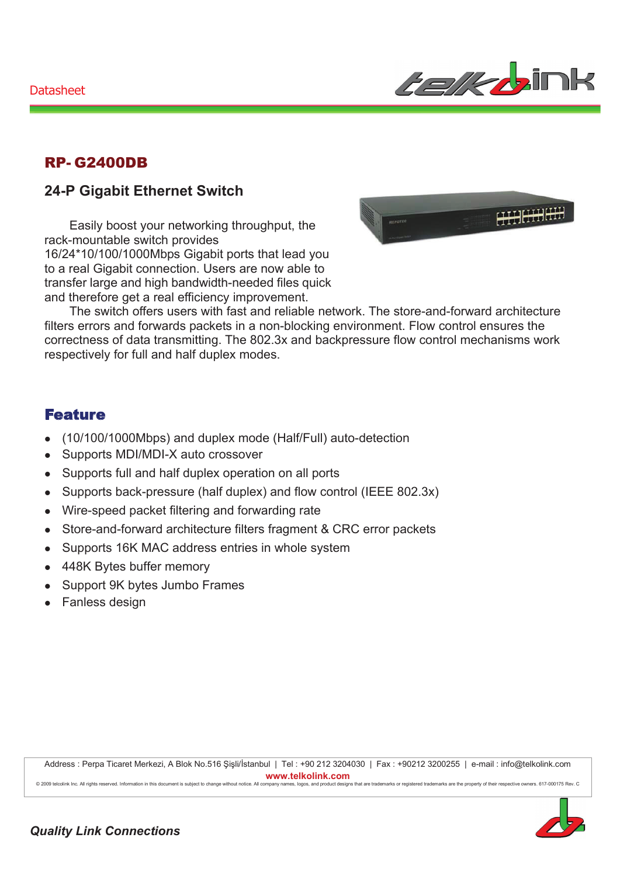

### **RP-G2400DB**

## **24-P Gigabit Ethernet Switch**

Easily boost your networking throughput, the rack-mountable switch provides 16/24\*10/100/1000Mbps Gigabit ports that lead you to a real Gigabit connection. Users are now able to transfer large and high bandwidth-needed files quick and therefore get a real efficiency improvement.



The switch offers users with fast and reliable network. The store-and-forward architecture filters errors and forwards packets in a non-blocking environment. Flow control ensures the correctness of data transmitting. The 802.3x and backpressure flow control mechanisms work respectively for full and half duplex modes.

#### **Feature**

- (10/100/1000Mbps) and duplex mode (Half/Full) auto-detection  $\bullet$
- Supports MDI/MDI-X auto crossover  $\bullet$
- Supports full and half duplex operation on all ports  $\bullet$
- Supports back-pressure (half duplex) and flow control (IEEE 802.3x)  $\bullet$
- Wire-speed packet filtering and forwarding rate  $\bullet$
- Store-and-forward architecture filters fragment & CRC error packets  $\bullet$
- Supports 16K MAC address entries in whole system  $\bullet$
- 448K Bytes buffer memory  $\bullet$
- Support 9K bytes Jumbo Frames  $\bullet$
- Fanless design

Address : Perpa Ticaret Merkezi, A Blok No.516 Şişli/İstanbul | Tel : +90 212 3204030 | Fax : +90212 3200255 | e-mail : info@telkolink.com www.telkolink.com @ 2000 toleolink Inc. All rights reserved. Information in this decument is subject to change without notice. All company nan s logos and product designs that are trademarks or registered trademarks are the property of their respective owners. 617-000175 Rey, C.